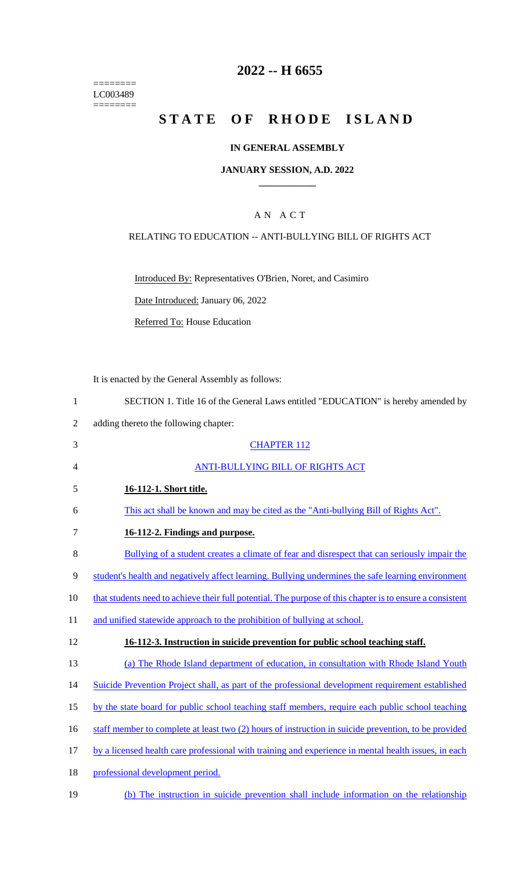======== LC003489  $=$ 

# **2022 -- H 6655**

# **STATE OF RHODE ISLAND**

#### **IN GENERAL ASSEMBLY**

#### **JANUARY SESSION, A.D. 2022 \_\_\_\_\_\_\_\_\_\_\_\_**

#### A N A C T

#### RELATING TO EDUCATION -- ANTI-BULLYING BILL OF RIGHTS ACT

Introduced By: Representatives O'Brien, Noret, and Casimiro

Date Introduced: January 06, 2022

Referred To: House Education

It is enacted by the General Assembly as follows:

| $\mathbf{1}$   | SECTION 1. Title 16 of the General Laws entitled "EDUCATION" is hereby amended by                         |
|----------------|-----------------------------------------------------------------------------------------------------------|
| $\overline{2}$ | adding thereto the following chapter:                                                                     |
| 3              | <b>CHAPTER 112</b>                                                                                        |
| $\overline{4}$ | <b>ANTI-BULLYING BILL OF RIGHTS ACT</b>                                                                   |
| 5              | 16-112-1. Short title.                                                                                    |
| 6              | This act shall be known and may be cited as the "Anti-bullying Bill of Rights Act".                       |
| $\tau$         | 16-112-2. Findings and purpose.                                                                           |
| 8              | Bullying of a student creates a climate of fear and disrespect that can seriously impair the              |
| $\mathbf{9}$   | student's health and negatively affect learning. Bullying undermines the safe learning environment        |
| 10             | that students need to achieve their full potential. The purpose of this chapter is to ensure a consistent |
| 11             | and unified statewide approach to the prohibition of bullying at school.                                  |
| 12             | 16-112-3. Instruction in suicide prevention for public school teaching staff.                             |
| 13             | (a) The Rhode Island department of education, in consultation with Rhode Island Youth                     |
| 14             | Suicide Prevention Project shall, as part of the professional development requirement established         |
| 15             | by the state board for public school teaching staff members, require each public school teaching          |
| 16             | staff member to complete at least two (2) hours of instruction in suicide prevention, to be provided      |
| 17             | by a licensed health care professional with training and experience in mental health issues, in each      |
| 18             | professional development period.                                                                          |
| 19             | (b) The instruction in suicide prevention shall include information on the relationship                   |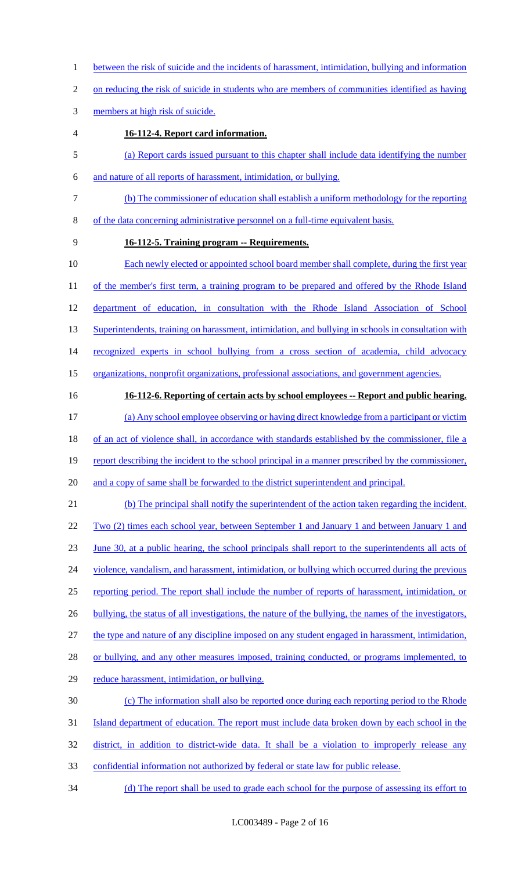- 1 between the risk of suicide and the incidents of harassment, intimidation, bullying and information
- 2 on reducing the risk of suicide in students who are members of communities identified as having
- 3 members at high risk of suicide.
- 4 **16-112-4. Report card information.**
- 5 (a) Report cards issued pursuant to this chapter shall include data identifying the number
- 6 and nature of all reports of harassment, intimidation, or bullying.
- 7 (b) The commissioner of education shall establish a uniform methodology for the reporting
- 8 of the data concerning administrative personnel on a full-time equivalent basis.
- 

#### 9 **16-112-5. Training program -- Requirements.**

- 10 Each newly elected or appointed school board member shall complete, during the first year 11 of the member's first term, a training program to be prepared and offered by the Rhode Island 12 department of education, in consultation with the Rhode Island Association of School 13 Superintendents, training on harassment, intimidation, and bullying in schools in consultation with 14 recognized experts in school bullying from a cross section of academia, child advocacy
- 15 organizations, nonprofit organizations, professional associations, and government agencies.
- 

# 16 **16-112-6. Reporting of certain acts by school employees -- Report and public hearing.**

- 17 (a) Any school employee observing or having direct knowledge from a participant or victim 18 of an act of violence shall, in accordance with standards established by the commissioner, file a
- 19 report describing the incident to the school principal in a manner prescribed by the commissioner,
- 20 and a copy of same shall be forwarded to the district superintendent and principal.

# 21 (b) The principal shall notify the superintendent of the action taken regarding the incident. 22 Two (2) times each school year, between September 1 and January 1 and between January 1 and 23 June 30, at a public hearing, the school principals shall report to the superintendents all acts of 24 violence, vandalism, and harassment, intimidation, or bullying which occurred during the previous 25 reporting period. The report shall include the number of reports of harassment, intimidation, or 26 bullying, the status of all investigations, the nature of the bullying, the names of the investigators, 27 the type and nature of any discipline imposed on any student engaged in harassment, intimidation, 28 or bullying, and any other measures imposed, training conducted, or programs implemented, to 29 reduce harassment, intimidation, or bullying.

### 30 (c) The information shall also be reported once during each reporting period to the Rhode

- 31 Island department of education. The report must include data broken down by each school in the
- 32 district, in addition to district-wide data. It shall be a violation to improperly release any
- 33 confidential information not authorized by federal or state law for public release.
- 34 (d) The report shall be used to grade each school for the purpose of assessing its effort to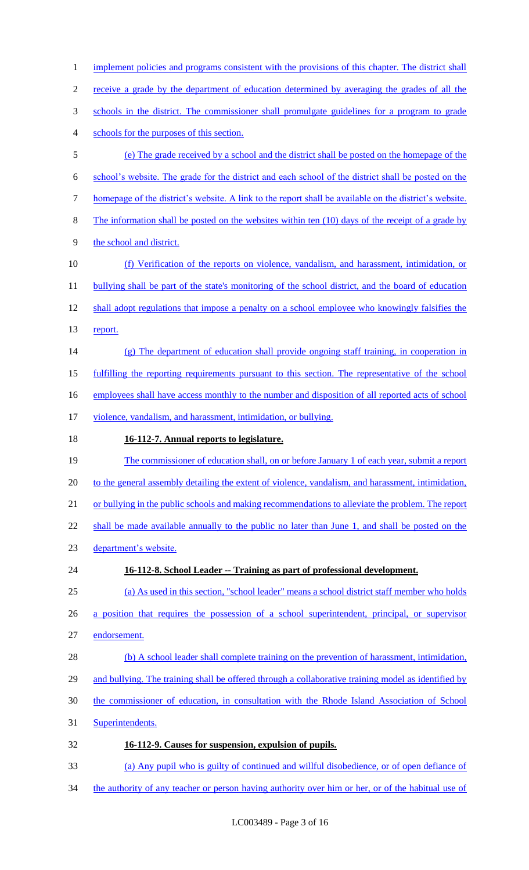1 implement policies and programs consistent with the provisions of this chapter. The district shall receive a grade by the department of education determined by averaging the grades of all the schools in the district. The commissioner shall promulgate guidelines for a program to grade schools for the purposes of this section. (e) The grade received by a school and the district shall be posted on the homepage of the school's website. The grade for the district and each school of the district shall be posted on the homepage of the district's website. A link to the report shall be available on the district's website. The information shall be posted on the websites within ten (10) days of the receipt of a grade by the school and district. (f) Verification of the reports on violence, vandalism, and harassment, intimidation, or 11 bullying shall be part of the state's monitoring of the school district, and the board of education 12 shall adopt regulations that impose a penalty on a school employee who knowingly falsifies the 13 report. (g) The department of education shall provide ongoing staff training, in cooperation in fulfilling the reporting requirements pursuant to this section. The representative of the school 16 employees shall have access monthly to the number and disposition of all reported acts of school 17 violence, vandalism, and harassment, intimidation, or bullying. **16-112-7. Annual reports to legislature.**  19 The commissioner of education shall, on or before January 1 of each year, submit a report 20 to the general assembly detailing the extent of violence, vandalism, and harassment, intimidation, or bullying in the public schools and making recommendations to alleviate the problem. The report 22 shall be made available annually to the public no later than June 1, and shall be posted on the department's website. **16-112-8. School Leader -- Training as part of professional development.**  (a) As used in this section, "school leader" means a school district staff member who holds a position that requires the possession of a school superintendent, principal, or supervisor endorsement. 28 (b) A school leader shall complete training on the prevention of harassment, intimidation, 29 and bullying. The training shall be offered through a collaborative training model as identified by the commissioner of education, in consultation with the Rhode Island Association of School Superintendents. **16-112-9. Causes for suspension, expulsion of pupils.**  (a) Any pupil who is guilty of continued and willful disobedience, or of open defiance of

34 the authority of any teacher or person having authority over him or her, or of the habitual use of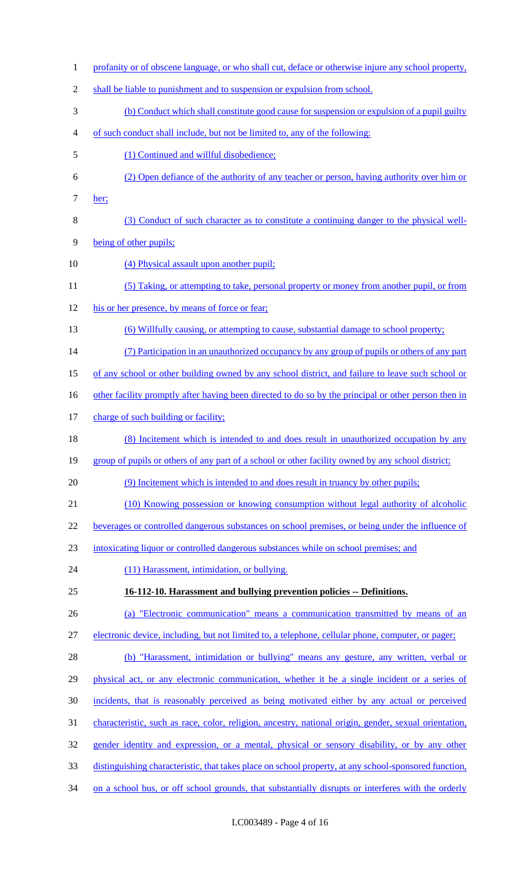1 profanity or of obscene language, or who shall cut, deface or otherwise injure any school property, 2 shall be liable to punishment and to suspension or expulsion from school. 3 (b) Conduct which shall constitute good cause for suspension or expulsion of a pupil guilty 4 of such conduct shall include, but not be limited to, any of the following: 5 (1) Continued and willful disobedience; 6 (2) Open defiance of the authority of any teacher or person, having authority over him or 7 her; 8 (3) Conduct of such character as to constitute a continuing danger to the physical well-9 being of other pupils; 10 (4) Physical assault upon another pupil; 11 (5) Taking, or attempting to take, personal property or money from another pupil, or from 12 his or her presence, by means of force or fear; 13 (6) Willfully causing, or attempting to cause, substantial damage to school property; 14 (7) Participation in an unauthorized occupancy by any group of pupils or others of any part 15 of any school or other building owned by any school district, and failure to leave such school or 16 other facility promptly after having been directed to do so by the principal or other person then in 17 charge of such building or facility; 18 (8) Incitement which is intended to and does result in unauthorized occupation by any 19 group of pupils or others of any part of a school or other facility owned by any school district; 20 (9) Incitement which is intended to and does result in truancy by other pupils; 21 (10) Knowing possession or knowing consumption without legal authority of alcoholic 22 beverages or controlled dangerous substances on school premises, or being under the influence of 23 intoxicating liquor or controlled dangerous substances while on school premises; and 24 (11) Harassment, intimidation, or bullying. 25 **16-112-10. Harassment and bullying prevention policies -- Definitions.**  26 (a) "Electronic communication" means a communication transmitted by means of an 27 electronic device, including, but not limited to, a telephone, cellular phone, computer, or pager; 28 (b) "Harassment, intimidation or bullying" means any gesture, any written, verbal or 29 physical act, or any electronic communication, whether it be a single incident or a series of 30 incidents, that is reasonably perceived as being motivated either by any actual or perceived 31 characteristic, such as race, color, religion, ancestry, national origin, gender, sexual orientation, 32 gender identity and expression, or a mental, physical or sensory disability, or by any other 33 distinguishing characteristic, that takes place on school property, at any school-sponsored function, 34 on a school bus, or off school grounds, that substantially disrupts or interferes with the orderly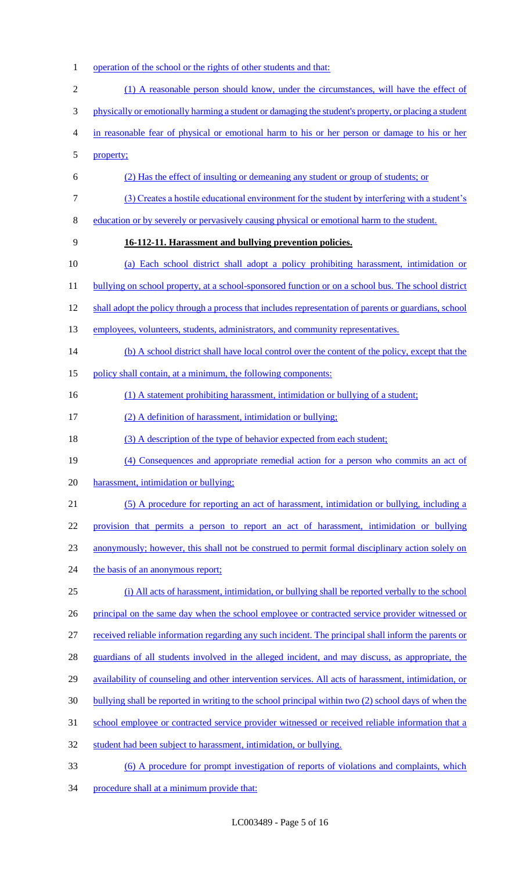- 1 operation of the school or the rights of other students and that:
- (1) A reasonable person should know, under the circumstances, will have the effect of physically or emotionally harming a student or damaging the student's property, or placing a student in reasonable fear of physical or emotional harm to his or her person or damage to his or her property; (2) Has the effect of insulting or demeaning any student or group of students; or (3) Creates a hostile educational environment for the student by interfering with a student's education or by severely or pervasively causing physical or emotional harm to the student. **16-112-11. Harassment and bullying prevention policies.**  (a) Each school district shall adopt a policy prohibiting harassment, intimidation or 11 bullying on school property, at a school-sponsored function or on a school bus. The school district 12 shall adopt the policy through a process that includes representation of parents or guardians, school 13 employees, volunteers, students, administrators, and community representatives. 14 (b) A school district shall have local control over the content of the policy, except that the 15 policy shall contain, at a minimum, the following components: 16 (1) A statement prohibiting harassment, intimidation or bullying of a student; (2) A definition of harassment, intimidation or bullying; 18 (3) A description of the type of behavior expected from each student; (4) Consequences and appropriate remedial action for a person who commits an act of harassment, intimidation or bullying; (5) A procedure for reporting an act of harassment, intimidation or bullying, including a provision that permits a person to report an act of harassment, intimidation or bullying anonymously; however, this shall not be construed to permit formal disciplinary action solely on 24 the basis of an anonymous report; (i) All acts of harassment, intimidation, or bullying shall be reported verbally to the school 26 principal on the same day when the school employee or contracted service provider witnessed or received reliable information regarding any such incident. The principal shall inform the parents or guardians of all students involved in the alleged incident, and may discuss, as appropriate, the availability of counseling and other intervention services. All acts of harassment, intimidation, or bullying shall be reported in writing to the school principal within two (2) school days of when the school employee or contracted service provider witnessed or received reliable information that a student had been subject to harassment, intimidation, or bullying. (6) A procedure for prompt investigation of reports of violations and complaints, which
- 34 procedure shall at a minimum provide that: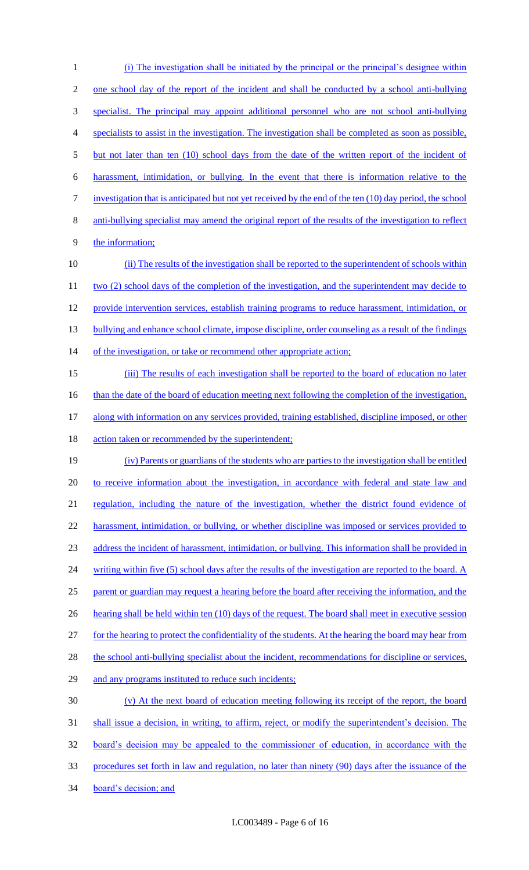1 (i) The investigation shall be initiated by the principal or the principal's designee within 2 one school day of the report of the incident and shall be conducted by a school anti-bullying 3 specialist. The principal may appoint additional personnel who are not school anti-bullying 4 specialists to assist in the investigation. The investigation shall be completed as soon as possible, 5 but not later than ten (10) school days from the date of the written report of the incident of 6 harassment, intimidation, or bullying. In the event that there is information relative to the 7 investigation that is anticipated but not yet received by the end of the ten (10) day period, the school 8 anti-bullying specialist may amend the original report of the results of the investigation to reflect 9 the information; 10 (ii) The results of the investigation shall be reported to the superintendent of schools within 11 two (2) school days of the completion of the investigation, and the superintendent may decide to 12 provide intervention services, establish training programs to reduce harassment, intimidation, or 13 bullying and enhance school climate, impose discipline, order counseling as a result of the findings 14 of the investigation, or take or recommend other appropriate action; 15 (iii) The results of each investigation shall be reported to the board of education no later 16 than the date of the board of education meeting next following the completion of the investigation, 17 along with information on any services provided, training established, discipline imposed, or other 18 action taken or recommended by the superintendent; 19 (iv) Parents or guardians of the students who are parties to the investigation shall be entitled 20 to receive information about the investigation, in accordance with federal and state law and 21 regulation, including the nature of the investigation, whether the district found evidence of 22 harassment, intimidation, or bullying, or whether discipline was imposed or services provided to 23 address the incident of harassment, intimidation, or bullying. This information shall be provided in 24 writing within five (5) school days after the results of the investigation are reported to the board. A 25 parent or guardian may request a hearing before the board after receiving the information, and the 26 hearting shall be held within ten (10) days of the request. The board shall meet in executive session 27 for the hearing to protect the confidentiality of the students. At the hearing the board may hear from 28 the school anti-bullying specialist about the incident, recommendations for discipline or services, 29 and any programs instituted to reduce such incidents; 30 (v) At the next board of education meeting following its receipt of the report, the board 31 shall issue a decision, in writing, to affirm, reject, or modify the superintendent's decision. The 32 board's decision may be appealed to the commissioner of education, in accordance with the 33 procedures set forth in law and regulation, no later than ninety (90) days after the issuance of the 34 board's decision; and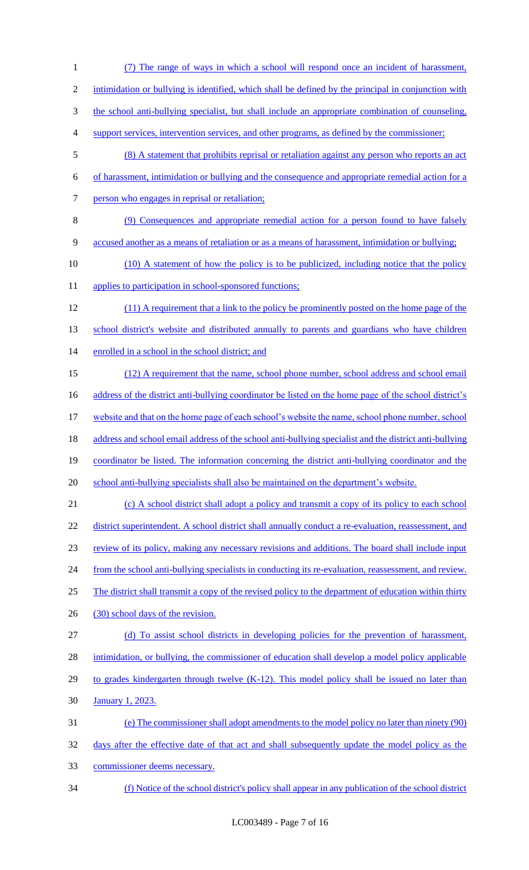(7) The range of ways in which a school will respond once an incident of harassment, 2 intimidation or bullying is identified, which shall be defined by the principal in conjunction with the school anti-bullying specialist, but shall include an appropriate combination of counseling, support services, intervention services, and other programs, as defined by the commissioner; (8) A statement that prohibits reprisal or retaliation against any person who reports an act of harassment, intimidation or bullying and the consequence and appropriate remedial action for a person who engages in reprisal or retaliation; (9) Consequences and appropriate remedial action for a person found to have falsely accused another as a means of retaliation or as a means of harassment, intimidation or bullying; 10 (10) A statement of how the policy is to be publicized, including notice that the policy 11 applies to participation in school-sponsored functions; (11) A requirement that a link to the policy be prominently posted on the home page of the 13 school district's website and distributed annually to parents and guardians who have children 14 enrolled in a school in the school district; and (12) A requirement that the name, school phone number, school address and school email 16 address of the district anti-bullying coordinator be listed on the home page of the school district's website and that on the home page of each school's website the name, school phone number, school address and school email address of the school anti-bullying specialist and the district anti-bullying coordinator be listed. The information concerning the district anti-bullying coordinator and the 20 school anti-bullying specialists shall also be maintained on the department's website. (c) A school district shall adopt a policy and transmit a copy of its policy to each school 22 district superintendent. A school district shall annually conduct a re-evaluation, reassessment, and review of its policy, making any necessary revisions and additions. The board shall include input from the school anti-bullying specialists in conducting its re-evaluation, reassessment, and review. The district shall transmit a copy of the revised policy to the department of education within thirty 26 (30) school days of the revision. (d) To assist school districts in developing policies for the prevention of harassment, 28 intimidation, or bullying, the commissioner of education shall develop a model policy applicable 29 to grades kindergarten through twelve (K-12). This model policy shall be issued no later than January 1, 2023. (e) The commissioner shall adopt amendments to the model policy no later than ninety (90) days after the effective date of that act and shall subsequently update the model policy as the commissioner deems necessary. (f) Notice of the school district's policy shall appear in any publication of the school district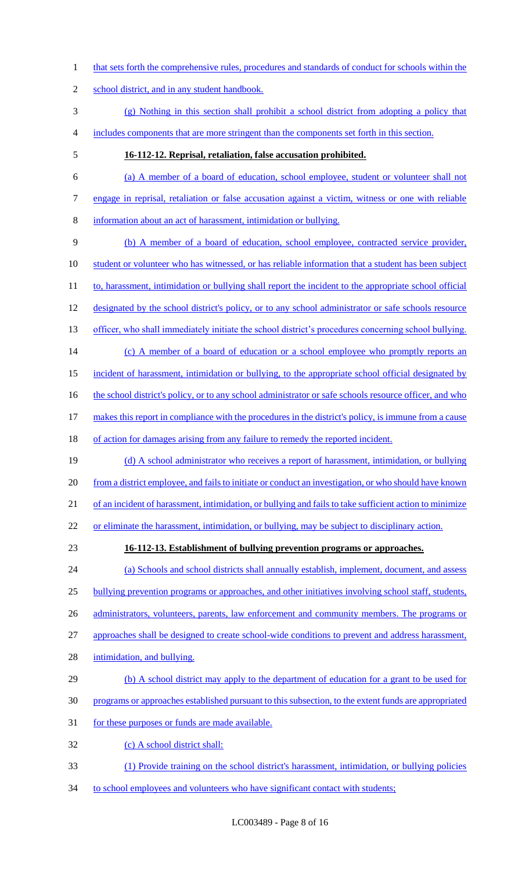- 1 that sets forth the comprehensive rules, procedures and standards of conduct for schools within the
- school district, and in any student handbook.
- (g) Nothing in this section shall prohibit a school district from adopting a policy that includes components that are more stringent than the components set forth in this section.
- 

#### **16-112-12. Reprisal, retaliation, false accusation prohibited.**

 (a) A member of a board of education, school employee, student or volunteer shall not engage in reprisal, retaliation or false accusation against a victim, witness or one with reliable information about an act of harassment, intimidation or bullying.

- (b) A member of a board of education, school employee, contracted service provider, 10 student or volunteer who has witnessed, or has reliable information that a student has been subject 11 to, harassment, intimidation or bullying shall report the incident to the appropriate school official 12 designated by the school district's policy, or to any school administrator or safe schools resource 13 officer, who shall immediately initiate the school district's procedures concerning school bullying. 14 (c) A member of a board of education or a school employee who promptly reports an incident of harassment, intimidation or bullying, to the appropriate school official designated by 16 the school district's policy, or to any school administrator or safe schools resource officer, and who makes this report in compliance with the procedures in the district's policy, is immune from a cause
- of action for damages arising from any failure to remedy the reported incident.
- 19 (d) A school administrator who receives a report of harassment, intimidation, or bullying from a district employee, and fails to initiate or conduct an investigation, or who should have known of an incident of harassment, intimidation, or bullying and fails to take sufficient action to minimize or eliminate the harassment, intimidation, or bullying, may be subject to disciplinary action.
- 

#### **16-112-13. Establishment of bullying prevention programs or approaches.**

 (a) Schools and school districts shall annually establish, implement, document, and assess bullying prevention programs or approaches, and other initiatives involving school staff, students, 26 administrators, volunteers, parents, law enforcement and community members. The programs or approaches shall be designed to create school-wide conditions to prevent and address harassment, intimidation, and bullying.

- 29 (b) A school district may apply to the department of education for a grant to be used for
- programs or approaches established pursuant to this subsection, to the extent funds are appropriated
- for these purposes or funds are made available.
- (c) A school district shall:
- (1) Provide training on the school district's harassment, intimidation, or bullying policies
- 34 to school employees and volunteers who have significant contact with students;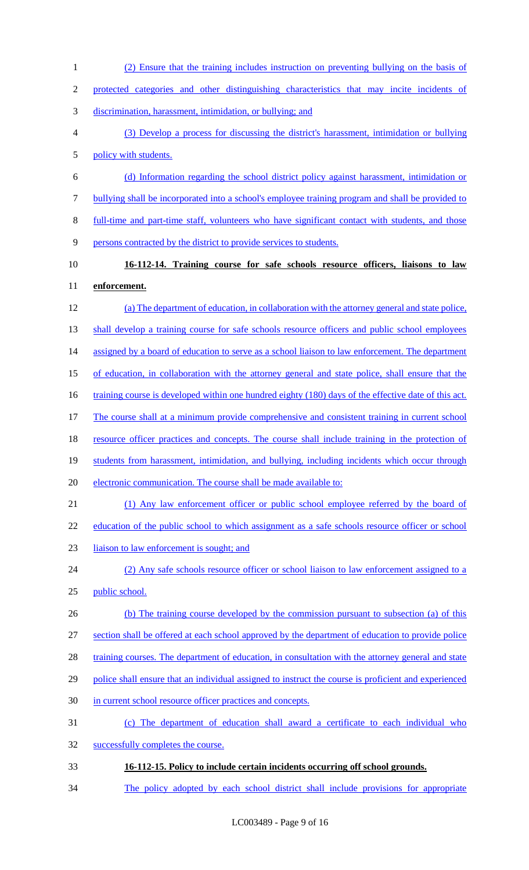| $\mathbf{1}$   | (2) Ensure that the training includes instruction on preventing bullying on the basis of             |
|----------------|------------------------------------------------------------------------------------------------------|
| $\overline{2}$ | protected categories and other distinguishing characteristics that may incite incidents of           |
| 3              | discrimination, harassment, intimidation, or bullying; and                                           |
| 4              | (3) Develop a process for discussing the district's harassment, intimidation or bullying             |
| 5              | policy with students.                                                                                |
| 6              | (d) Information regarding the school district policy against harassment, intimidation or             |
| 7              | bullying shall be incorporated into a school's employee training program and shall be provided to    |
| 8              | full-time and part-time staff, volunteers who have significant contact with students, and those      |
| 9              | persons contracted by the district to provide services to students.                                  |
| 10             | 16-112-14. Training course for safe schools resource officers, liaisons to law                       |
| 11             | enforcement.                                                                                         |
| 12             | (a) The department of education, in collaboration with the attorney general and state police,        |
| 13             | shall develop a training course for safe schools resource officers and public school employees       |
| 14             | assigned by a board of education to serve as a school liaison to law enforcement. The department     |
| 15             | of education, in collaboration with the attorney general and state police, shall ensure that the     |
| 16             | training course is developed within one hundred eighty (180) days of the effective date of this act. |
| 17             | The course shall at a minimum provide comprehensive and consistent training in current school        |
| 18             | resource officer practices and concepts. The course shall include training in the protection of      |
| 19             | students from harassment, intimidation, and bullying, including incidents which occur through        |
| 20             | electronic communication. The course shall be made available to:                                     |
| 21             | (1) Any law enforcement officer or public school employee referred by the board of                   |
| 22             | education of the public school to which assignment as a safe schools resource officer or school      |
| 23             | liaison to law enforcement is sought; and                                                            |
| 24             | (2) Any safe schools resource officer or school liaison to law enforcement assigned to a             |
| 25             | public school.                                                                                       |
| 26             | (b) The training course developed by the commission pursuant to subsection (a) of this               |
| 27             | section shall be offered at each school approved by the department of education to provide police    |
| 28             | training courses. The department of education, in consultation with the attorney general and state   |
| 29             | police shall ensure that an individual assigned to instruct the course is proficient and experienced |
| 30             | in current school resource officer practices and concepts.                                           |
| 31             | (c) The department of education shall award a certificate to each individual who                     |
| 32             | successfully completes the course.                                                                   |
| 33             | 16-112-15. Policy to include certain incidents occurring off school grounds.                         |
| 34             | The policy adopted by each school district shall include provisions for appropriate                  |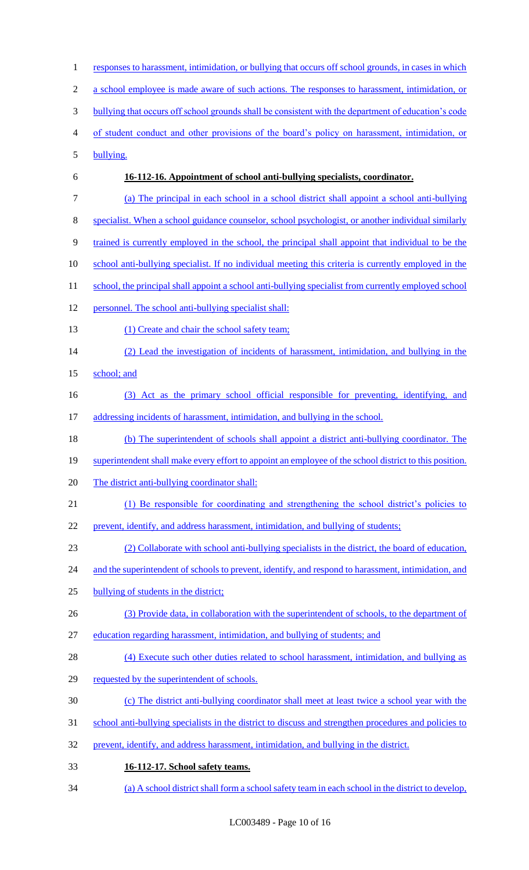1 responses to harassment, intimidation, or bullying that occurs off school grounds, in cases in which a school employee is made aware of such actions. The responses to harassment, intimidation, or bullying that occurs off school grounds shall be consistent with the department of education's code of student conduct and other provisions of the board's policy on harassment, intimidation, or bullying. **16-112-16. Appointment of school anti-bullying specialists, coordinator.**  (a) The principal in each school in a school district shall appoint a school anti-bullying specialist. When a school guidance counselor, school psychologist, or another individual similarly trained is currently employed in the school, the principal shall appoint that individual to be the school anti-bullying specialist. If no individual meeting this criteria is currently employed in the 11 school, the principal shall appoint a school anti-bullying specialist from currently employed school personnel. The school anti-bullying specialist shall: 13 (1) Create and chair the school safety team; (2) Lead the investigation of incidents of harassment, intimidation, and bullying in the 15 school; and (3) Act as the primary school official responsible for preventing, identifying, and 17 addressing incidents of harassment, intimidation, and bullying in the school. (b) The superintendent of schools shall appoint a district anti-bullying coordinator. The 19 superintendent shall make every effort to appoint an employee of the school district to this position. The district anti-bullying coordinator shall: (1) Be responsible for coordinating and strengthening the school district's policies to prevent, identify, and address harassment, intimidation, and bullying of students; (2) Collaborate with school anti-bullying specialists in the district, the board of education, 24 and the superintendent of schools to prevent, identify, and respond to harassment, intimidation, and bullying of students in the district; (3) Provide data, in collaboration with the superintendent of schools, to the department of education regarding harassment, intimidation, and bullying of students; and 28 (4) Execute such other duties related to school harassment, intimidation, and bullying as requested by the superintendent of schools. (c) The district anti-bullying coordinator shall meet at least twice a school year with the 31 school anti-bullying specialists in the district to discuss and strengthen procedures and policies to prevent, identify, and address harassment, intimidation, and bullying in the district. **16-112-17. School safety teams.**  (a) A school district shall form a school safety team in each school in the district to develop,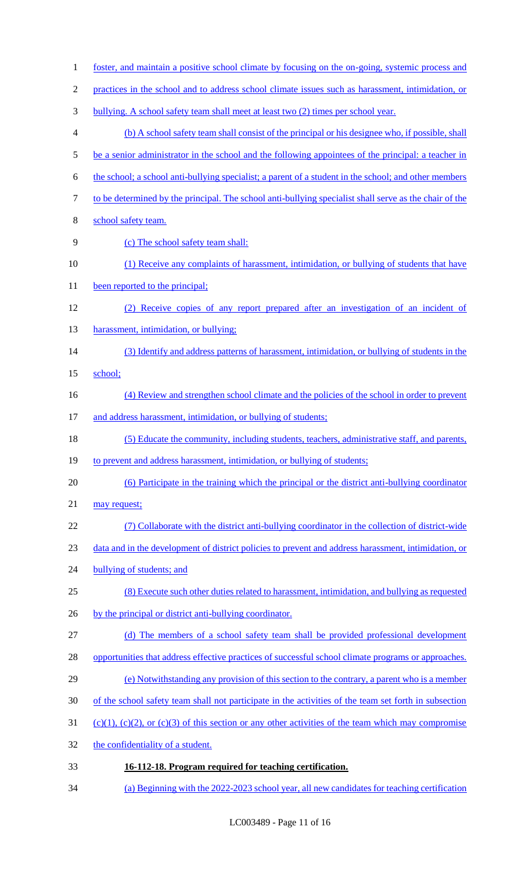foster, and maintain a positive school climate by focusing on the on-going, systemic process and practices in the school and to address school climate issues such as harassment, intimidation, or bullying. A school safety team shall meet at least two (2) times per school year. (b) A school safety team shall consist of the principal or his designee who, if possible, shall 5 be a senior administrator in the school and the following appointees of the principal: a teacher in the school; a school anti-bullying specialist; a parent of a student in the school; and other members to be determined by the principal. The school anti-bullying specialist shall serve as the chair of the school safety team. (c) The school safety team shall: (1) Receive any complaints of harassment, intimidation, or bullying of students that have 11 been reported to the principal; (2) Receive copies of any report prepared after an investigation of an incident of 13 harassment, intimidation, or bullying; (3) Identify and address patterns of harassment, intimidation, or bullying of students in the 15 school; 16 (4) Review and strengthen school climate and the policies of the school in order to prevent 17 and address harassment, intimidation, or bullying of students; (5) Educate the community, including students, teachers, administrative staff, and parents, 19 to prevent and address harassment, intimidation, or bullying of students; (6) Participate in the training which the principal or the district anti-bullying coordinator 21 may request; (7) Collaborate with the district anti-bullying coordinator in the collection of district-wide data and in the development of district policies to prevent and address harassment, intimidation, or 24 bullying of students; and (8) Execute such other duties related to harassment, intimidation, and bullying as requested 26 by the principal or district anti-bullying coordinator. (d) The members of a school safety team shall be provided professional development 28 opportunities that address effective practices of successful school climate programs or approaches. (e) Notwithstanding any provision of this section to the contrary, a parent who is a member of the school safety team shall not participate in the activities of the team set forth in subsection 31 (c)(1), (c)(2), or (c)(3) of this section or any other activities of the team which may compromise 32 the confidentiality of a student. **16-112-18. Program required for teaching certification.**  (a) Beginning with the 2022-2023 school year, all new candidates for teaching certification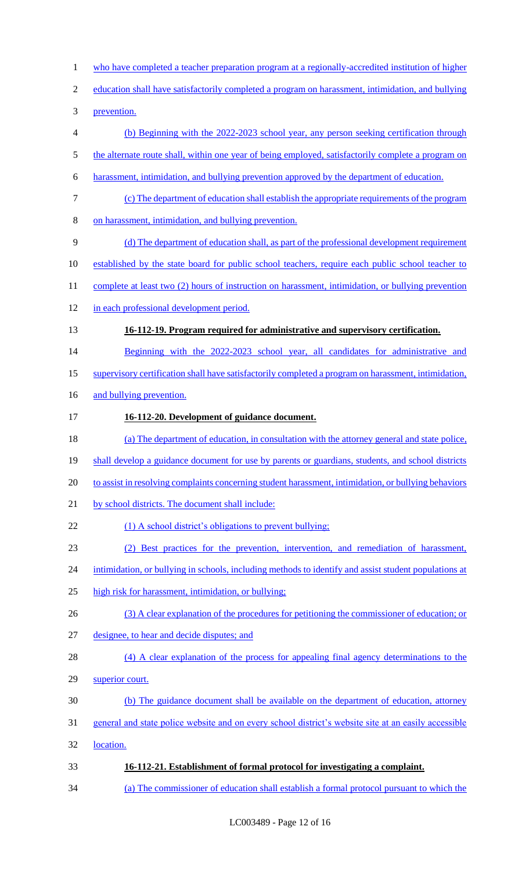- 1 who have completed a teacher preparation program at a regionally-accredited institution of higher
- education shall have satisfactorily completed a program on harassment, intimidation, and bullying
- prevention.
- (b) Beginning with the 2022-2023 school year, any person seeking certification through
- 5 the alternate route shall, within one year of being employed, satisfactorily complete a program on
- harassment, intimidation, and bullying prevention approved by the department of education.
- (c) The department of education shall establish the appropriate requirements of the program
- on harassment, intimidation, and bullying prevention.
- (d) The department of education shall, as part of the professional development requirement
- established by the state board for public school teachers, require each public school teacher to
- 11 complete at least two (2) hours of instruction on harassment, intimidation, or bullying prevention
- in each professional development period.
- **16-112-19. Program required for administrative and supervisory certification.**
- 14 Beginning with the 2022-2023 school year, all candidates for administrative and
- supervisory certification shall have satisfactorily completed a program on harassment, intimidation,
- 16 and bullying prevention.
- **16-112-20. Development of guidance document.**
- (a) The department of education, in consultation with the attorney general and state police,
- 19 shall develop a guidance document for use by parents or guardians, students, and school districts
- to assist in resolving complaints concerning student harassment, intimidation, or bullying behaviors
- 21 by school districts. The document shall include:
- 22 (1) A school district's obligations to prevent bullying;
- (2) Best practices for the prevention, intervention, and remediation of harassment,
- 24 intimidation, or bullying in schools, including methods to identify and assist student populations at
- high risk for harassment, intimidation, or bullying;
- 26 (3) A clear explanation of the procedures for petitioning the commissioner of education; or
- designee, to hear and decide disputes; and
- 28 (4) A clear explanation of the process for appealing final agency determinations to the
- superior court.
- (b) The guidance document shall be available on the department of education, attorney
- general and state police website and on every school district's website site at an easily accessible
- location.
- **16-112-21. Establishment of formal protocol for investigating a complaint.**
- (a) The commissioner of education shall establish a formal protocol pursuant to which the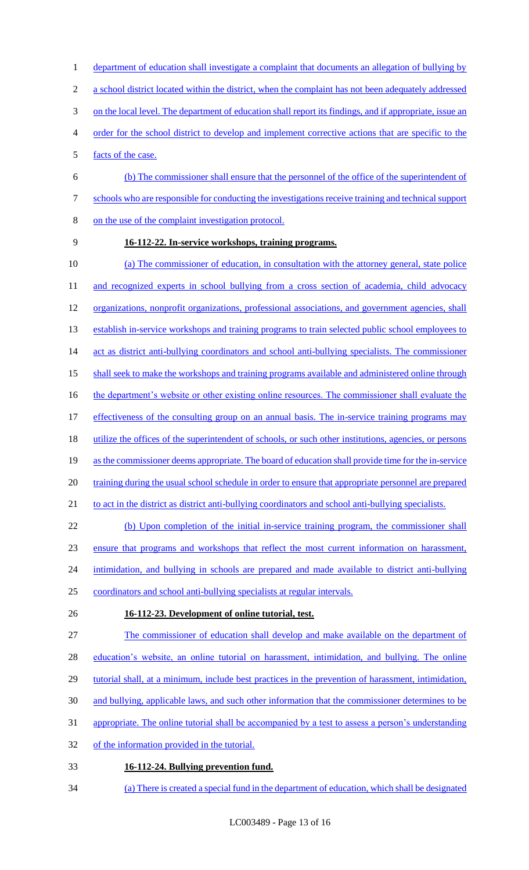- 1 department of education shall investigate a complaint that documents an allegation of bullying by
- 2 a school district located within the district, when the complaint has not been adequately addressed
- 3 on the local level. The department of education shall report its findings, and if appropriate, issue an
- 4 order for the school district to develop and implement corrective actions that are specific to the
- 5 facts of the case.
- 6 (b) The commissioner shall ensure that the personnel of the office of the superintendent of 7 schools who are responsible for conducting the investigations receive training and technical support 8 on the use of the complaint investigation protocol.
- 

#### 9 **16-112-22. In-service workshops, training programs.**

10 (a) The commissioner of education, in consultation with the attorney general, state police 11 and recognized experts in school bullying from a cross section of academia, child advocacy 12 organizations, nonprofit organizations, professional associations, and government agencies, shall 13 establish in-service workshops and training programs to train selected public school employees to 14 act as district anti-bullying coordinators and school anti-bullying specialists. The commissioner 15 shall seek to make the workshops and training programs available and administered online through 16 the department's website or other existing online resources. The commissioner shall evaluate the 17 effectiveness of the consulting group on an annual basis. The in-service training programs may 18 utilize the offices of the superintendent of schools, or such other institutions, agencies, or persons 19 as the commissioner deems appropriate. The board of education shall provide time for the in-service 20 training during the usual school schedule in order to ensure that appropriate personnel are prepared 21 to act in the district as district anti-bullying coordinators and school anti-bullying specialists. 22 (b) Upon completion of the initial in-service training program, the commissioner shall

23 ensure that programs and workshops that reflect the most current information on harassment,

24 intimidation, and bullying in schools are prepared and made available to district anti-bullying

25 coordinators and school anti-bullying specialists at regular intervals.

#### 26 **16-112-23. Development of online tutorial, test.**

27 The commissioner of education shall develop and make available on the department of

28 education's website, an online tutorial on harassment, intimidation, and bullying. The online

- 29 tutorial shall, at a minimum, include best practices in the prevention of harassment, intimidation,
- 30 and bullying, applicable laws, and such other information that the commissioner determines to be
- 31 appropriate. The online tutorial shall be accompanied by a test to assess a person's understanding
- 32 of the information provided in the tutorial.
- 33 **16-112-24. Bullying prevention fund.**
- 34 (a) There is created a special fund in the department of education, which shall be designated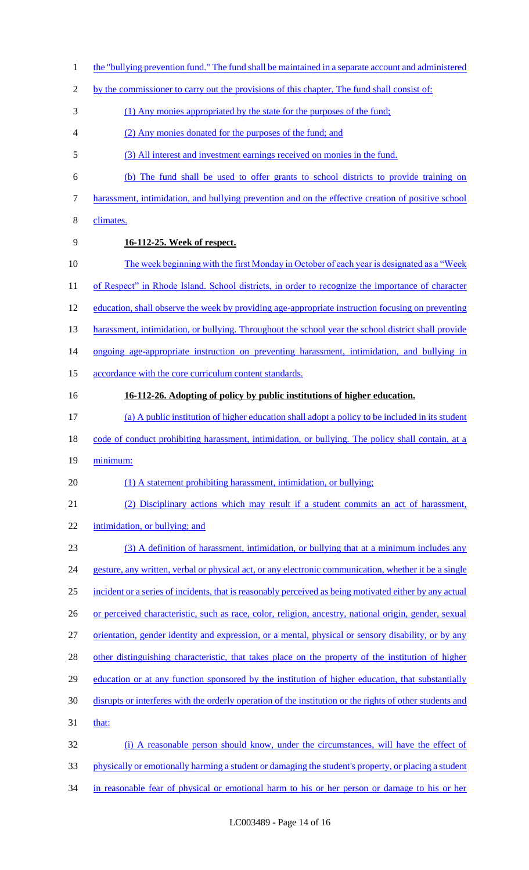1 the "bullying prevention fund." The fund shall be maintained in a separate account and administered 2 by the commissioner to carry out the provisions of this chapter. The fund shall consist of: 3 (1) Any monies appropriated by the state for the purposes of the fund; 4 (2) Any monies donated for the purposes of the fund; and 5 (3) All interest and investment earnings received on monies in the fund. 6 (b) The fund shall be used to offer grants to school districts to provide training on 7 harassment, intimidation, and bullying prevention and on the effective creation of positive school 8 climates. 9 **16-112-25. Week of respect.**  10 The week beginning with the first Monday in October of each year is designated as a "Week" 11 of Respect" in Rhode Island. School districts, in order to recognize the importance of character 12 education, shall observe the week by providing age-appropriate instruction focusing on preventing 13 harassment, intimidation, or bullying. Throughout the school year the school district shall provide 14 ongoing age-appropriate instruction on preventing harassment, intimidation, and bullying in 15 accordance with the core curriculum content standards. 16 **16-112-26. Adopting of policy by public institutions of higher education.**  17 (a) A public institution of higher education shall adopt a policy to be included in its student 18 code of conduct prohibiting harassment, intimidation, or bullying. The policy shall contain, at a 19 minimum: 20 (1) A statement prohibiting harassment, intimidation, or bullying; 21 (2) Disciplinary actions which may result if a student commits an act of harassment, 22 intimidation, or bullying; and 23 (3) A definition of harassment, intimidation, or bullying that at a minimum includes any 24 gesture, any written, verbal or physical act, or any electronic communication, whether it be a single 25 incident or a series of incidents, that is reasonably perceived as being motivated either by any actual 26 or perceived characteristic, such as race, color, religion, ancestry, national origin, gender, sexual 27 orientation, gender identity and expression, or a mental, physical or sensory disability, or by any 28 other distinguishing characteristic, that takes place on the property of the institution of higher 29 education or at any function sponsored by the institution of higher education, that substantially 30 disrupts or interferes with the orderly operation of the institution or the rights of other students and 31 that: 32 (i) A reasonable person should know, under the circumstances, will have the effect of 33 physically or emotionally harming a student or damaging the student's property, or placing a student 34 in reasonable fear of physical or emotional harm to his or her person or damage to his or her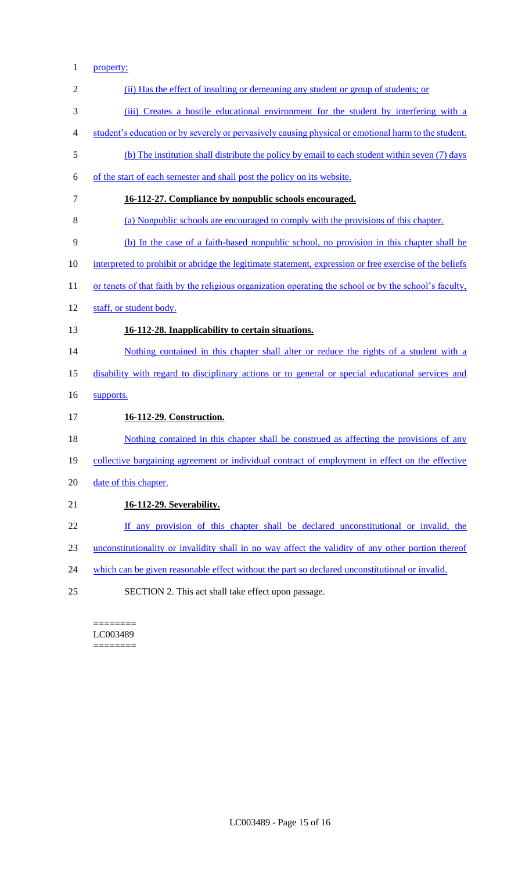## property;

| $\overline{2}$ | (ii) Has the effect of insulting or demeaning any student or group of students; or                      |
|----------------|---------------------------------------------------------------------------------------------------------|
| 3              | (iii) Creates a hostile educational environment for the student by interfering with a                   |
| 4              | student's education or by severely or pervasively causing physical or emotional harm to the student.    |
| 5              | (b) The institution shall distribute the policy by email to each student within seven (7) days          |
| 6              | of the start of each semester and shall post the policy on its website.                                 |
| 7              | 16-112-27. Compliance by nonpublic schools encouraged.                                                  |
| 8              | (a) Nonpublic schools are encouraged to comply with the provisions of this chapter.                     |
| 9              | (b) In the case of a faith-based nonpublic school, no provision in this chapter shall be                |
| 10             | interpreted to prohibit or abridge the legitimate statement, expression or free exercise of the beliefs |
| 11             | or tenets of that faith by the religious organization operating the school or by the school's faculty,  |
| 12             | staff, or student body.                                                                                 |
| 13             | 16-112-28. Inapplicability to certain situations.                                                       |
| 14             | Nothing contained in this chapter shall alter or reduce the rights of a student with a                  |
| 15             | disability with regard to disciplinary actions or to general or special educational services and        |
| 16             | supports.                                                                                               |
| 17             | 16-112-29. Construction.                                                                                |
| 18             | Nothing contained in this chapter shall be construed as affecting the provisions of any                 |
| 19             | <u>collective bargaining agreement or individual contract of employment in effect on the effective</u>  |
| 20             | date of this chapter.                                                                                   |
| 21             | <b>16-112-29. Severability.</b>                                                                         |
| 22             | If any provision of this chapter shall be declared unconstitutional or invalid, the                     |
| 23             | unconstitutionality or invalidity shall in no way affect the validity of any other portion thereof      |
| 24             | which can be given reasonable effect without the part so declared unconstitutional or invalid.          |
| 25             | SECTION 2. This act shall take effect upon passage.                                                     |
|                |                                                                                                         |

 $=$ LC003489 ========